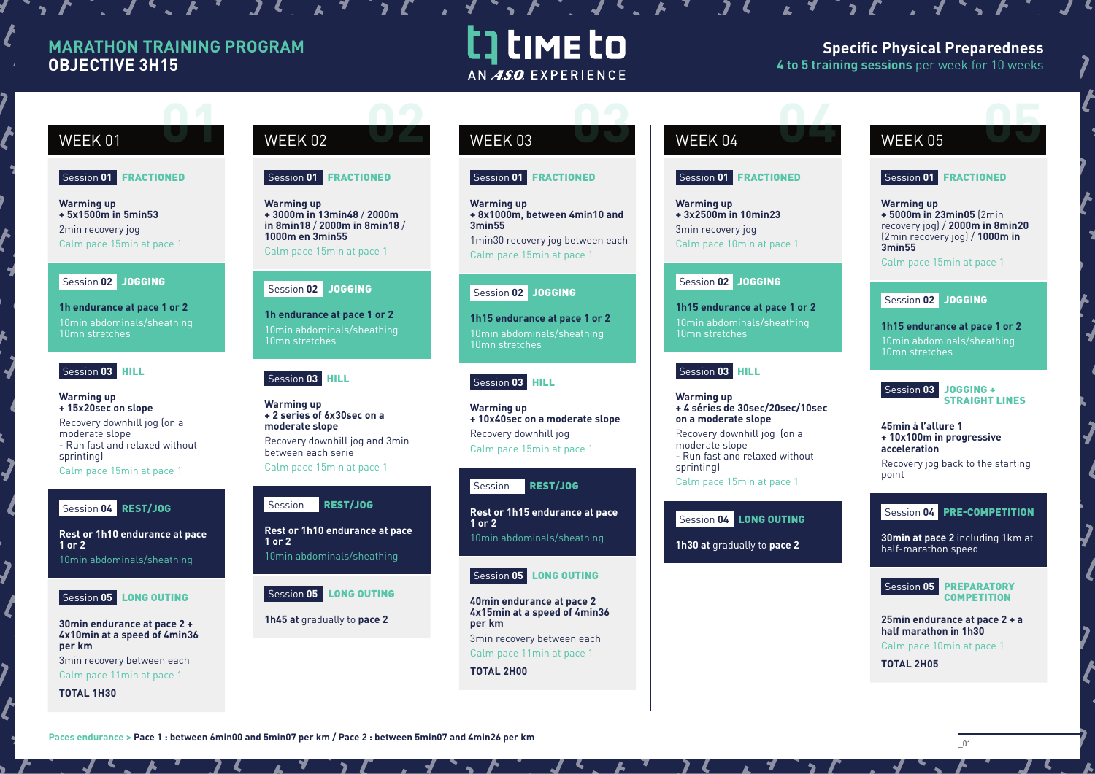# **MARATHON TRAINING PROGRAM OBJECTIVE 3H15**

# t] time to AN ASO EXPERIENCE

 $\mathbf{1} \cdot \mathbf{1} \cdot \mathbf{1} \cdot \mathbf{1} \cdot \mathbf{1} \cdot \mathbf{1} \cdot \mathbf{1} \cdot \mathbf{1} \cdot \mathbf{1} \cdot \mathbf{1} \cdot \mathbf{1} \cdot \mathbf{1} \cdot \mathbf{1} \cdot \mathbf{1} \cdot \mathbf{1} \cdot \mathbf{1} \cdot \mathbf{1} \cdot \mathbf{1} \cdot \mathbf{1} \cdot \mathbf{1} \cdot \mathbf{1} \cdot \mathbf{1} \cdot \mathbf{1} \cdot \mathbf{1} \cdot \mathbf{1} \cdot \mathbf{1} \cdot \mathbf{1} \cdot \mathbf{$ 

# **Specific Physical Preparedness 4 to 5 training sessions** per week for 10 weeks

# Session **01** FRACTIONED

**Warming up + 5x1500m in 5min53** 2min recovery jog Calm pace 15min at pace 1

## Session **02** JOGGING

**1h endurance at pace 1 or 2** 10min abdominals/sheathing 10mn stretches

# Session **03** HILL

**Warming up + 15x20sec on slope** Recovery downhill jog (on a moderate slope - Run fast and relaxed without sprinting) Calm pace 15min at pace 1

# Session **04** REST/JOG

**Rest or 1h10 endurance at pace 1 or 2**

10min abdominals/sheathing



## **30min endurance at pace 2 + 4x10min at a speed of 4min36 per km**

3min recovery between each Calm pace 11min at pace 1

**TOTAL 1H30**

# WEEK 01 WEEK 02 WEEK 03 WEEK 04 WEEK 05 **02 0 02 03 02 03 02 03 02 03 02 03 02 04 05 05 05 05**

# Session **01** FRACTIONED

**Warming up + 3000m in 13min48** / **2000m in 8min18** / **2000m in 8min18** / **1000m en 3min55** Calm pace 15min at pace 1

# Session **02** JOGGING

**1h endurance at pace 1 or 2** 10min abdominals/sheathing 10mn stretches

# Session **03** HILL

**Warming up + 2 series of 6x30sec on a moderate slope**  Recovery downhill jog and 3min between each serie Calm pace 15min at pace 1

## SessionREST/JOG

**Rest or 1h10 endurance at pace 1 or 2** 10min abdominals/sheathing

# Session **05** LONG OUTING

**1h45 at** gradually to **pace 2**

# Session **01** FRACTIONED

**Warming up + 8x1000m, between 4min10 and 3min55**  1min30 recovery jog between each

Calm pace 15min at pace 1

# Session **02** JOGGING

**1h15 endurance at pace 1 or 2** 10mn stretches

# Session **03** HILL

**Warming up + 10x40sec on a moderate slope** Recovery downhill jog Calm pace 15min at pace 1

# SessionREST/JOG

**Rest or 1h15 endurance at pace 1 or 2**

10min abdominals/sheathing

# Session **05** LONG OUTING

**40min endurance at pace 2 4x15min at a speed of 4min36 per km** 3min recovery between each

Calm pace 11min at pace 1

**TOTAL 2H00**

# Session **01** FRACTIONED

 $\mathbf{v}$ 

**Warming up + 3x2500m in 10min23** 3min recovery jog Calm pace 10min at pace 1

# Session **02** JOGGING

**1h15 endurance at pace 1 or 2** 10min abdominals/sheathing 10mn stretches

# Session **03** HILL

**Warming up + 4 séries de 30sec/20sec/10sec on a moderate slope** Recovery downhill jog (on a moderate slope - Run fast and relaxed without sprinting) Calm pace 15min at pace 1

# Session **04** LONG OUTING

**1h30 at** gradually to **pace 2**

# Session **01** FRACTIONED

**Warming up + 5000m in 23min05** (2min recovery jog) / **2000m in 8min20**  (2min recovery jog) / **1000m in 3min55**

Calm pace 15min at pace 1

# Session **02** JOGGING

**1h15 endurance at pace 1 or 2** 10min abdominals/sheathing 10mn stretches



**45min à l'allure 1 + 10x100m in progressive acceleration** Recovery jog back to the starting

# Session **04** PRE-COMPETITION

**30min at pace 2** including 1km at half-marathon speed



**25min endurance at pace 2 + a half marathon in 1h30** Calm pace 10min at pace 1

**TOTAL 2H05**

point

Paces endurance > Pace 1 : between 6min00 and 5min07 per km / Pace 2 : between 5min07 and 4min26 per km **definition**